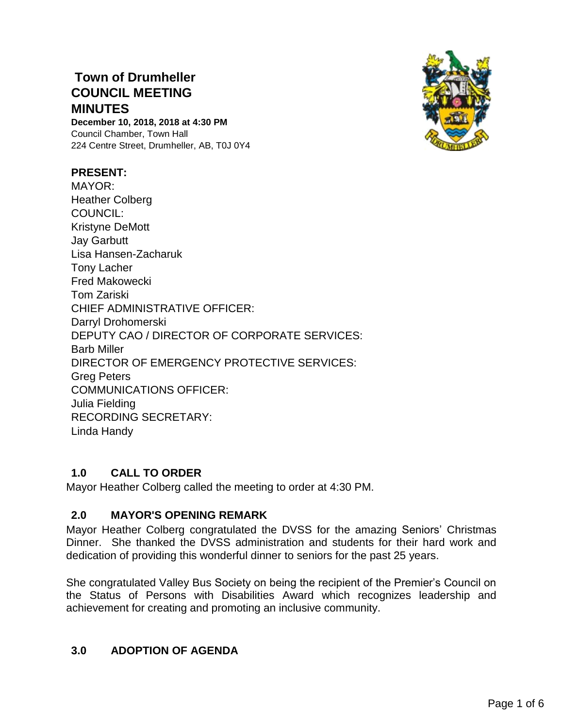# **Town of Drumheller COUNCIL MEETING MINUTES**

**December 10, 2018, 2018 at 4:30 PM** Council Chamber, Town Hall 224 Centre Street, Drumheller, AB, T0J 0Y4

### **PRESENT:**

MAYOR: Heather Colberg COUNCIL: Kristyne DeMott Jay Garbutt Lisa Hansen-Zacharuk Tony Lacher Fred Makowecki Tom Zariski CHIEF ADMINISTRATIVE OFFICER: Darryl Drohomerski DEPUTY CAO / DIRECTOR OF CORPORATE SERVICES: Barb Miller DIRECTOR OF EMERGENCY PROTECTIVE SERVICES: Greg Peters COMMUNICATIONS OFFICER: Julia Fielding RECORDING SECRETARY: Linda Handy

## **1.0 CALL TO ORDER**

Mayor Heather Colberg called the meeting to order at 4:30 PM.

## **2.0 MAYOR'S OPENING REMARK**

Mayor Heather Colberg congratulated the DVSS for the amazing Seniors' Christmas Dinner. She thanked the DVSS administration and students for their hard work and dedication of providing this wonderful dinner to seniors for the past 25 years.

She congratulated Valley Bus Society on being the recipient of the Premier's Council on the Status of Persons with Disabilities Award which recognizes leadership and achievement for creating and promoting an inclusive community.

## **3.0 ADOPTION OF AGENDA**

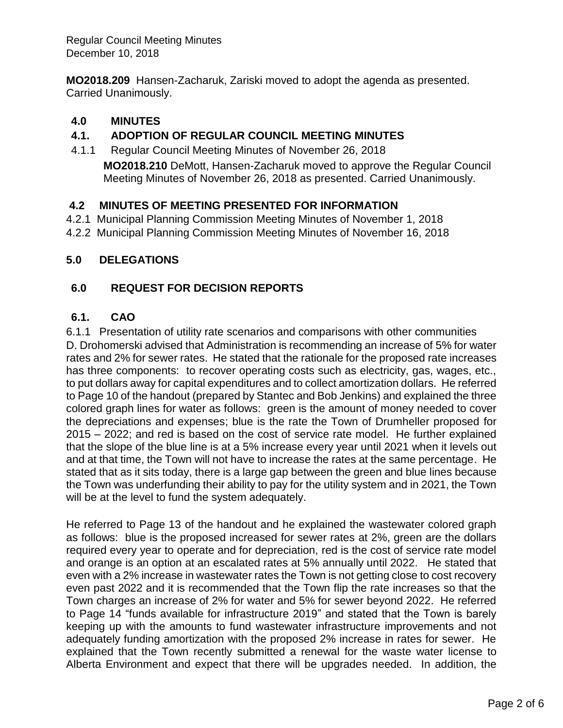Regular Council Meeting Minutes December 10, 2018

**MO2018.209** Hansen-Zacharuk, Zariski moved to adopt the agenda as presented. Carried Unanimously.

## **4.0 MINUTES**

## **4.1. ADOPTION OF REGULAR COUNCIL MEETING MINUTES**

4.1.1 Regular Council Meeting Minutes of November 26, 2018 **MO2018.210** DeMott, Hansen-Zacharuk moved to approve the Regular Council Meeting Minutes of November 26, 2018 as presented. Carried Unanimously.

### **4.2 MINUTES OF MEETING PRESENTED FOR INFORMATION**

- 4.2.1 Municipal Planning Commission Meeting Minutes of November 1, 2018
- 4.2.2 Municipal Planning Commission Meeting Minutes of November 16, 2018

### **5.0 DELEGATIONS**

## **6.0 REQUEST FOR DECISION REPORTS**

### **6.1. CAO**

6.1.1 Presentation of utility rate scenarios and comparisons with other communities D. Drohomerski advised that Administration is recommending an increase of 5% for water rates and 2% for sewer rates. He stated that the rationale for the proposed rate increases has three components: to recover operating costs such as electricity, gas, wages, etc., to put dollars away for capital expenditures and to collect amortization dollars. He referred to Page 10 of the handout (prepared by Stantec and Bob Jenkins) and explained the three colored graph lines for water as follows: green is the amount of money needed to cover the depreciations and expenses; blue is the rate the Town of Drumheller proposed for 2015 – 2022; and red is based on the cost of service rate model. He further explained that the slope of the blue line is at a 5% increase every year until 2021 when it levels out and at that time, the Town will not have to increase the rates at the same percentage. He stated that as it sits today, there is a large gap between the green and blue lines because the Town was underfunding their ability to pay for the utility system and in 2021, the Town will be at the level to fund the system adequately.

He referred to Page 13 of the handout and he explained the wastewater colored graph as follows: blue is the proposed increased for sewer rates at 2%, green are the dollars required every year to operate and for depreciation, red is the cost of service rate model and orange is an option at an escalated rates at 5% annually until 2022. He stated that even with a 2% increase in wastewater rates the Town is not getting close to cost recovery even past 2022 and it is recommended that the Town flip the rate increases so that the Town charges an increase of 2% for water and 5% for sewer beyond 2022. He referred to Page 14 "funds available for infrastructure 2019" and stated that the Town is barely keeping up with the amounts to fund wastewater infrastructure improvements and not adequately funding amortization with the proposed 2% increase in rates for sewer. He explained that the Town recently submitted a renewal for the waste water license to Alberta Environment and expect that there will be upgrades needed. In addition, the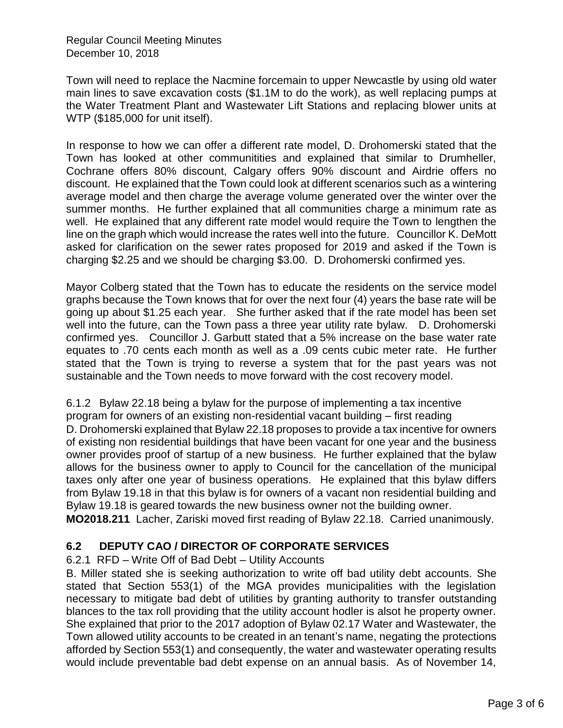Regular Council Meeting Minutes December 10, 2018

Town will need to replace the Nacmine forcemain to upper Newcastle by using old water main lines to save excavation costs (\$1.1M to do the work), as well replacing pumps at the Water Treatment Plant and Wastewater Lift Stations and replacing blower units at WTP (\$185,000 for unit itself).

In response to how we can offer a different rate model, D. Drohomerski stated that the Town has looked at other communitities and explained that similar to Drumheller, Cochrane offers 80% discount, Calgary offers 90% discount and Airdrie offers no discount. He explained that the Town could look at different scenarios such as a wintering average model and then charge the average volume generated over the winter over the summer months. He further explained that all communities charge a minimum rate as well. He explained that any different rate model would require the Town to lengthen the line on the graph which would increase the rates well into the future. Councillor K. DeMott asked for clarification on the sewer rates proposed for 2019 and asked if the Town is charging \$2.25 and we should be charging \$3.00. D. Drohomerski confirmed yes.

Mayor Colberg stated that the Town has to educate the residents on the service model graphs because the Town knows that for over the next four (4) years the base rate will be going up about \$1.25 each year. She further asked that if the rate model has been set well into the future, can the Town pass a three year utility rate bylaw. D. Drohomerski confirmed yes. Councillor J. Garbutt stated that a 5% increase on the base water rate equates to .70 cents each month as well as a .09 cents cubic meter rate. He further stated that the Town is trying to reverse a system that for the past years was not sustainable and the Town needs to move forward with the cost recovery model.

6.1.2 Bylaw 22.18 being a bylaw for the purpose of implementing a tax incentive program for owners of an existing non-residential vacant building – first reading D. Drohomerski explained that Bylaw 22.18 proposes to provide a tax incentive for owners of existing non residential buildings that have been vacant for one year and the business owner provides proof of startup of a new business. He further explained that the bylaw allows for the business owner to apply to Council for the cancellation of the municipal taxes only after one year of business operations. He explained that this bylaw differs from Bylaw 19.18 in that this bylaw is for owners of a vacant non residential building and Bylaw 19.18 is geared towards the new business owner not the building owner. **MO2018.211** Lacher, Zariski moved first reading of Bylaw 22.18. Carried unanimously.

## **6.2 DEPUTY CAO / DIRECTOR OF CORPORATE SERVICES**

### 6.2.1 RFD – Write Off of Bad Debt – Utility Accounts

B. Miller stated she is seeking authorization to write off bad utility debt accounts. She stated that Section 553(1) of the MGA provides municipalities with the legislation necessary to mitigate bad debt of utilities by granting authority to transfer outstanding blances to the tax roll providing that the utility account hodler is alsot he property owner. She explained that prior to the 2017 adoption of Bylaw 02.17 Water and Wastewater, the Town allowed utility accounts to be created in an tenant's name, negating the protections afforded by Section 553(1) and consequently, the water and wastewater operating results would include preventable bad debt expense on an annual basis. As of November 14,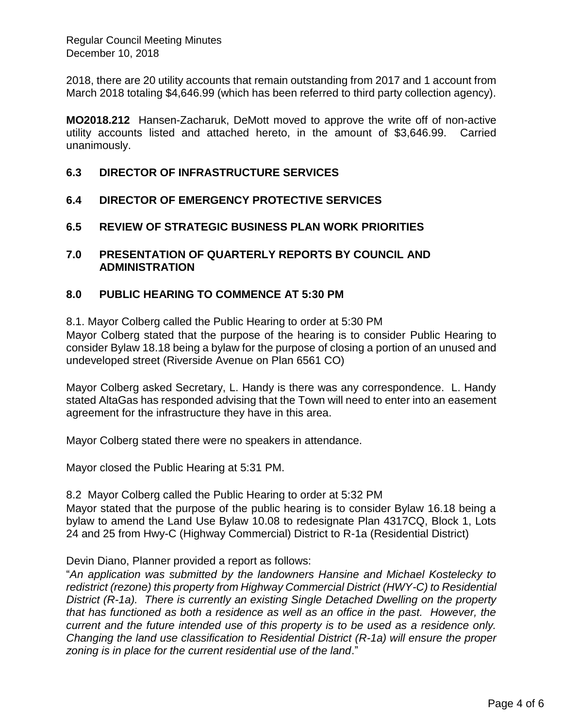2018, there are 20 utility accounts that remain outstanding from 2017 and 1 account from March 2018 totaling \$4,646.99 (which has been referred to third party collection agency).

**MO2018.212** Hansen-Zacharuk, DeMott moved to approve the write off of non-active utility accounts listed and attached hereto, in the amount of \$3,646.99. Carried unanimously.

### **6.3 DIRECTOR OF INFRASTRUCTURE SERVICES**

- **6.4 DIRECTOR OF EMERGENCY PROTECTIVE SERVICES**
- **6.5 REVIEW OF STRATEGIC BUSINESS PLAN WORK PRIORITIES**

### **7.0 PRESENTATION OF QUARTERLY REPORTS BY COUNCIL AND ADMINISTRATION**

### **8.0 PUBLIC HEARING TO COMMENCE AT 5:30 PM**

8.1. Mayor Colberg called the Public Hearing to order at 5:30 PM

Mayor Colberg stated that the purpose of the hearing is to consider Public Hearing to consider Bylaw 18.18 being a bylaw for the purpose of closing a portion of an unused and undeveloped street (Riverside Avenue on Plan 6561 CO)

Mayor Colberg asked Secretary, L. Handy is there was any correspondence. L. Handy stated AltaGas has responded advising that the Town will need to enter into an easement agreement for the infrastructure they have in this area.

Mayor Colberg stated there were no speakers in attendance.

Mayor closed the Public Hearing at 5:31 PM.

8.2 Mayor Colberg called the Public Hearing to order at 5:32 PM Mayor stated that the purpose of the public hearing is to consider Bylaw 16.18 being a bylaw to amend the Land Use Bylaw 10.08 to redesignate Plan 4317CQ, Block 1, Lots 24 and 25 from Hwy-C (Highway Commercial) District to R-1a (Residential District)

Devin Diano, Planner provided a report as follows:

"*An application was submitted by the landowners Hansine and Michael Kostelecky to redistrict (rezone) this property from Highway Commercial District (HWY-C) to Residential District (R-1a). There is currently an existing Single Detached Dwelling on the property that has functioned as both a residence as well as an office in the past. However, the current and the future intended use of this property is to be used as a residence only. Changing the land use classification to Residential District (R-1a) will ensure the proper zoning is in place for the current residential use of the land*."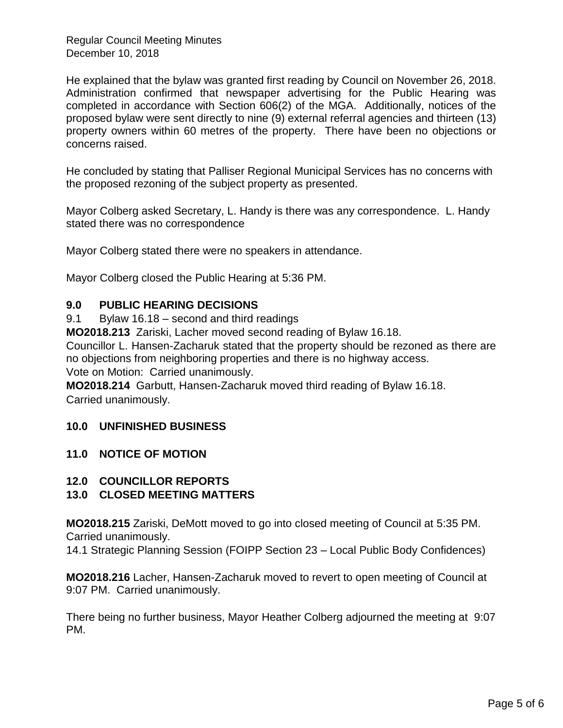Regular Council Meeting Minutes December 10, 2018

He explained that the bylaw was granted first reading by Council on November 26, 2018. Administration confirmed that newspaper advertising for the Public Hearing was completed in accordance with Section 606(2) of the MGA. Additionally, notices of the proposed bylaw were sent directly to nine (9) external referral agencies and thirteen (13) property owners within 60 metres of the property. There have been no objections or concerns raised.

He concluded by stating that Palliser Regional Municipal Services has no concerns with the proposed rezoning of the subject property as presented.

Mayor Colberg asked Secretary, L. Handy is there was any correspondence. L. Handy stated there was no correspondence

Mayor Colberg stated there were no speakers in attendance.

Mayor Colberg closed the Public Hearing at 5:36 PM.

### **9.0 PUBLIC HEARING DECISIONS**

9.1 Bylaw 16.18 – second and third readings

**MO2018.213** Zariski, Lacher moved second reading of Bylaw 16.18.

Councillor L. Hansen-Zacharuk stated that the property should be rezoned as there are no objections from neighboring properties and there is no highway access.

Vote on Motion: Carried unanimously.

**MO2018.214** Garbutt, Hansen-Zacharuk moved third reading of Bylaw 16.18. Carried unanimously.

### **10.0 UNFINISHED BUSINESS**

### **11.0 NOTICE OF MOTION**

**12.0 COUNCILLOR REPORTS**

## **13.0 CLOSED MEETING MATTERS**

**MO2018.215** Zariski, DeMott moved to go into closed meeting of Council at 5:35 PM. Carried unanimously.

14.1 Strategic Planning Session (FOIPP Section 23 – Local Public Body Confidences)

**MO2018.216** Lacher, Hansen-Zacharuk moved to revert to open meeting of Council at 9:07 PM. Carried unanimously.

There being no further business, Mayor Heather Colberg adjourned the meeting at 9:07 PM.